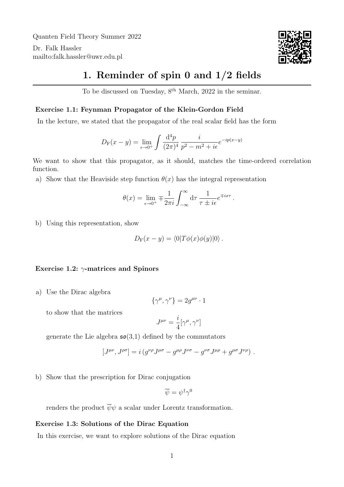Quanten Field Theory Summer 2022

Dr. Falk Hassler <mailto:falk.hassler@uwr.edu.pl>



## 1. Reminder of spin 0 and 1/2 fields

To be discussed on Tuesday,  $8<sup>th</sup> March$ , 2022 in the seminar.

## Exercise 1.1: Feynman Propagator of the Klein-Gordon Field

In the lecture, we stated that the propagator of the real scalar field has the form

$$
D_{\rm F}(x-y) = \lim_{\epsilon \to 0^+} \int \frac{\mathrm{d}^4 p}{(2\pi)^4} \frac{i}{p^2 - m^2 + i\epsilon} e^{-ip(x-y)}
$$

We want to show that this propagator, as it should, matches the time-ordered correlation function.

a) Show that the Heaviside step function  $\theta(x)$  has the integral representation

$$
\theta(x) = \lim_{\epsilon \to 0^+} \mp \frac{1}{2\pi i} \int_{-\infty}^{\infty} d\tau \, \frac{1}{\tau \pm i\epsilon} e^{\mp ix\tau}.
$$

b) Using this representation, show

$$
D_{\mathcal{F}}(x-y) = \langle 0|T\phi(x)\phi(y)|0\rangle.
$$

## Exercise 1.2:  $\gamma$ -matrices and Spinors

a) Use the Dirac algebra

$$
\{\gamma^{\mu}, \gamma^{\nu}\} = 2g^{\mu\nu} \cdot 1
$$

to show that the matrices

$$
J^{\mu\nu}=\frac{i}{4}[\gamma^\mu,\gamma^\nu]
$$

generate the Lie algebra  $\mathfrak{so}(3,1)$  defined by the commutators

$$
\left[J^{\mu\nu},J^{\rho\sigma}\right]=i\left(g^{\nu\rho}J^{\mu\sigma}-g^{\mu\rho}J^{\nu\sigma}-g^{\nu\sigma}J^{\mu\rho}+g^{\mu\sigma}J^{\nu\rho}\right)\,.
$$

b) Show that the prescription for Dirac conjugation

$$
\overline{\psi} = \psi^{\dagger} \gamma^0
$$

renders the product  $\overline{\psi}\psi$  a scalar under Lorentz transformation.

## Exercise 1.3: Solutions of the Dirac Equation

In this exercise, we want to explore solutions of the Dirac equation